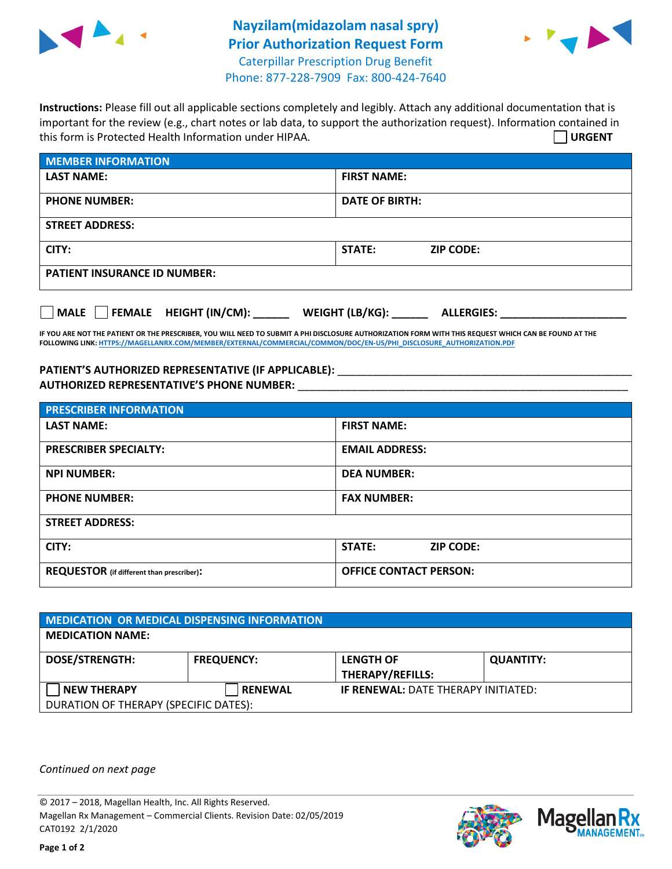

## **Nayzilam(midazolam nasal spry) Prior Authorization Request Form** Caterpillar Prescription Drug Benefit Phone: 877-228-7909 Fax: 800-424-7640



**Instructions:** Please fill out all applicable sections completely and legibly. Attach any additional documentation that is important for the review (e.g., chart notes or lab data, to support the authorization request). Information contained in this form is Protected Health Information under HIPAA. **URGENT**

| <b>MEMBER INFORMATION</b>           |                            |  |  |  |
|-------------------------------------|----------------------------|--|--|--|
| <b>LAST NAME:</b>                   | <b>FIRST NAME:</b>         |  |  |  |
| <b>PHONE NUMBER:</b>                | <b>DATE OF BIRTH:</b>      |  |  |  |
| <b>STREET ADDRESS:</b>              |                            |  |  |  |
| CITY:                               | STATE:<br><b>ZIP CODE:</b> |  |  |  |
| <b>PATIENT INSURANCE ID NUMBER:</b> |                            |  |  |  |

**MALE FEMALE HEIGHT (IN/CM): \_\_\_\_\_\_ WEIGHT (LB/KG): \_\_\_\_\_\_ ALLERGIES: \_\_\_\_\_\_\_\_\_\_\_\_\_\_\_\_\_\_\_\_\_**

**IF YOU ARE NOT THE PATIENT OR THE PRESCRIBER, YOU WILL NEED TO SUBMIT A PHI DISCLOSURE AUTHORIZATION FORM WITH THIS REQUEST WHICH CAN BE FOUND AT THE FOLLOWING LINK[: HTTPS://MAGELLANRX.COM/MEMBER/EXTERNAL/COMMERCIAL/COMMON/DOC/EN-US/PHI\\_DISCLOSURE\\_AUTHORIZATION.PDF](https://magellanrx.com/member/external/commercial/common/doc/en-us/PHI_Disclosure_Authorization.pdf)**

## **PATIENT'S AUTHORIZED REPRESENTATIVE (IF APPLICABLE):** \_\_\_\_\_\_\_\_\_\_\_\_\_\_\_\_\_\_\_\_\_\_\_\_\_\_\_\_\_\_\_\_\_\_\_\_\_\_\_\_\_\_\_\_\_\_\_\_\_ **AUTHORIZED REPRESENTATIVE'S PHONE NUMBER:** \_\_\_\_\_\_\_\_\_\_\_\_\_\_\_\_\_\_\_\_\_\_\_\_\_\_\_\_\_\_\_\_\_\_\_\_\_\_\_\_\_\_\_\_\_\_\_\_\_\_\_\_\_\_\_

| <b>PRESCRIBER INFORMATION</b>             |                                   |  |
|-------------------------------------------|-----------------------------------|--|
| <b>LAST NAME:</b>                         | <b>FIRST NAME:</b>                |  |
| <b>PRESCRIBER SPECIALTY:</b>              | <b>EMAIL ADDRESS:</b>             |  |
| <b>NPI NUMBER:</b>                        | <b>DEA NUMBER:</b>                |  |
| <b>PHONE NUMBER:</b>                      | <b>FAX NUMBER:</b>                |  |
| <b>STREET ADDRESS:</b>                    |                                   |  |
| CITY:                                     | <b>STATE:</b><br><b>ZIP CODE:</b> |  |
| REQUESTOR (if different than prescriber): | <b>OFFICE CONTACT PERSON:</b>     |  |

| <b>MEDICATION OR MEDICAL DISPENSING INFORMATION</b> |                   |                                             |                  |  |  |
|-----------------------------------------------------|-------------------|---------------------------------------------|------------------|--|--|
| <b>MEDICATION NAME:</b>                             |                   |                                             |                  |  |  |
| <b>DOSE/STRENGTH:</b>                               | <b>FREQUENCY:</b> | <b>LENGTH OF</b><br><b>THERAPY/REFILLS:</b> | <b>QUANTITY:</b> |  |  |
| <b>NEW THERAPY</b>                                  | <b>RENEWAL</b>    | <b>IF RENEWAL: DATE THERAPY INITIATED:</b>  |                  |  |  |
| DURATION OF THERAPY (SPECIFIC DATES):               |                   |                                             |                  |  |  |

*Continued on next page*

© 2017 – 2018, Magellan Health, Inc. All Rights Reserved. Magellan Rx Management – Commercial Clients. Revision Date: 02/05/2019 CAT0192 2/1/2020